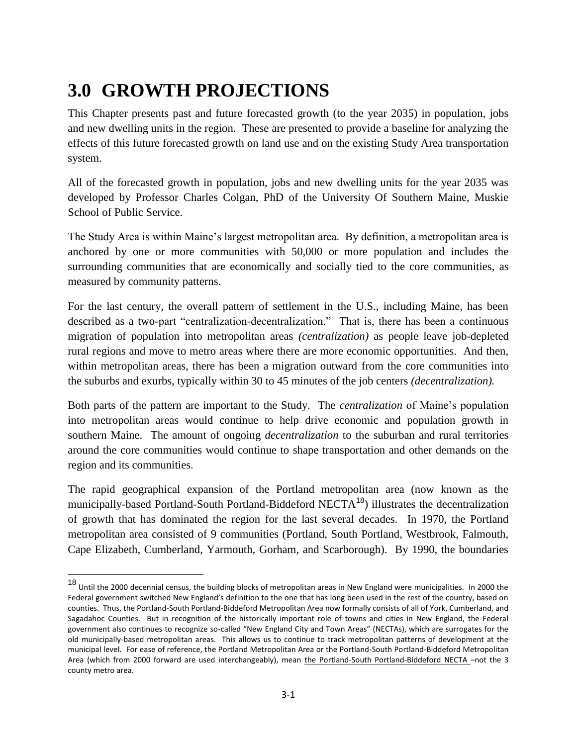## **3.0 GROWTH PROJECTIONS**

l

This Chapter presents past and future forecasted growth (to the year 2035) in population, jobs and new dwelling units in the region. These are presented to provide a baseline for analyzing the effects of this future forecasted growth on land use and on the existing Study Area transportation system.

All of the forecasted growth in population, jobs and new dwelling units for the year 2035 was developed by Professor Charles Colgan, PhD of the University Of Southern Maine, Muskie School of Public Service.

The Study Area is within Maine's largest metropolitan area. By definition, a metropolitan area is anchored by one or more communities with 50,000 or more population and includes the surrounding communities that are economically and socially tied to the core communities, as measured by community patterns.

For the last century, the overall pattern of settlement in the U.S., including Maine, has been described as a two-part "centralization-decentralization." That is, there has been a continuous migration of population into metropolitan areas *(centralization)* as people leave job-depleted rural regions and move to metro areas where there are more economic opportunities. And then, within metropolitan areas, there has been a migration outward from the core communities into the suburbs and exurbs, typically within 30 to 45 minutes of the job centers *(decentralization).*

Both parts of the pattern are important to the Study. The *centralization* of Maine's population into metropolitan areas would continue to help drive economic and population growth in southern Maine. The amount of ongoing *decentralization* to the suburban and rural territories around the core communities would continue to shape transportation and other demands on the region and its communities.

The rapid geographical expansion of the Portland metropolitan area (now known as the municipally-based Portland-South Portland-Biddeford NECTA<sup>18</sup>) illustrates the decentralization of growth that has dominated the region for the last several decades. In 1970, the Portland metropolitan area consisted of 9 communities (Portland, South Portland, Westbrook, Falmouth, Cape Elizabeth, Cumberland, Yarmouth, Gorham, and Scarborough). By 1990, the boundaries

<sup>18</sup> Until the 2000 decennial census, the building blocks of metropolitan areas in New England were municipalities. In 2000 the Federal government switched New England's definition to the one that has long been used in the rest of the country, based on counties. Thus, the Portland-South Portland-Biddeford Metropolitan Area now formally consists of all of York, Cumberland, and Sagadahoc Counties. But in recognition of the historically important role of towns and cities in New England, the Federal government also continues to recognize so-called "New England City and Town Areas" (NECTAs), which are surrogates for the old municipally-based metropolitan areas. This allows us to continue to track metropolitan patterns of development at the municipal level. For ease of reference, the Portland Metropolitan Area or the Portland-South Portland-Biddeford Metropolitan Area (which from 2000 forward are used interchangeably), mean the Portland-South Portland-Biddeford NECTA –not the 3 county metro area.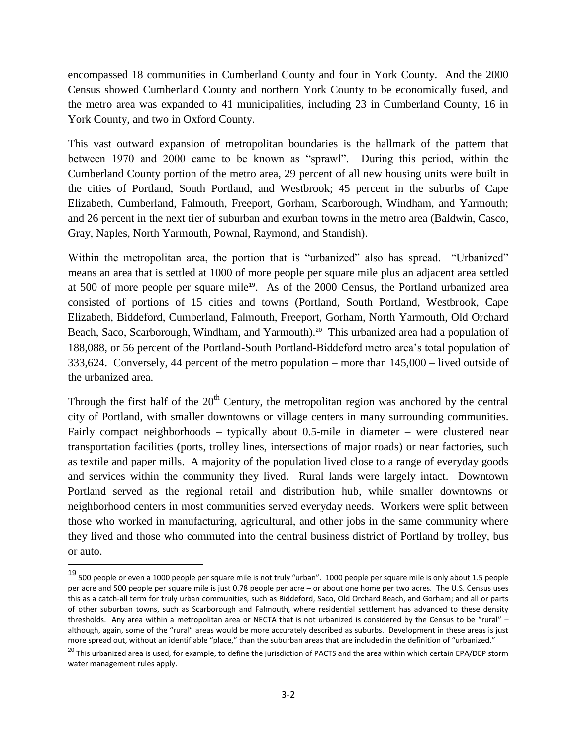encompassed 18 communities in Cumberland County and four in York County. And the 2000 Census showed Cumberland County and northern York County to be economically fused, and the metro area was expanded to 41 municipalities, including 23 in Cumberland County, 16 in York County, and two in Oxford County.

This vast outward expansion of metropolitan boundaries is the hallmark of the pattern that between 1970 and 2000 came to be known as "sprawl". During this period, within the Cumberland County portion of the metro area, 29 percent of all new housing units were built in the cities of Portland, South Portland, and Westbrook; 45 percent in the suburbs of Cape Elizabeth, Cumberland, Falmouth, Freeport, Gorham, Scarborough, Windham, and Yarmouth; and 26 percent in the next tier of suburban and exurban towns in the metro area (Baldwin, Casco, Gray, Naples, North Yarmouth, Pownal, Raymond, and Standish).

Within the metropolitan area, the portion that is "urbanized" also has spread. "Urbanized" means an area that is settled at 1000 of more people per square mile plus an adjacent area settled at 500 of more people per square mile<sup>19</sup>. As of the 2000 Census, the Portland urbanized area consisted of portions of 15 cities and towns (Portland, South Portland, Westbrook, Cape Elizabeth, Biddeford, Cumberland, Falmouth, Freeport, Gorham, North Yarmouth, Old Orchard Beach, Saco, Scarborough, Windham, and Yarmouth).<sup>20</sup> This urbanized area had a population of 188,088, or 56 percent of the Portland-South Portland-Biddeford metro area's total population of 333,624. Conversely, 44 percent of the metro population – more than 145,000 – lived outside of the urbanized area.

Through the first half of the  $20<sup>th</sup>$  Century, the metropolitan region was anchored by the central city of Portland, with smaller downtowns or village centers in many surrounding communities. Fairly compact neighborhoods – typically about 0.5-mile in diameter – were clustered near transportation facilities (ports, trolley lines, intersections of major roads) or near factories, such as textile and paper mills. A majority of the population lived close to a range of everyday goods and services within the community they lived. Rural lands were largely intact. Downtown Portland served as the regional retail and distribution hub, while smaller downtowns or neighborhood centers in most communities served everyday needs. Workers were split between those who worked in manufacturing, agricultural, and other jobs in the same community where they lived and those who commuted into the central business district of Portland by trolley, bus or auto.

l

<sup>19</sup> 500 people or even a 1000 people per square mile is not truly "urban". 1000 people per square mile is only about 1.5 people per acre and 500 people per square mile is just 0.78 people per acre – or about one home per two acres. The U.S. Census uses this as a catch-all term for truly urban communities, such as Biddeford, Saco, Old Orchard Beach, and Gorham; and all or parts of other suburban towns, such as Scarborough and Falmouth, where residential settlement has advanced to these density thresholds. Any area within a metropolitan area or NECTA that is not urbanized is considered by the Census to be "rural" – although, again, some of the "rural" areas would be more accurately described as suburbs. Development in these areas is just more spread out, without an identifiable "place," than the suburban areas that are included in the definition of "urbanized."

<sup>&</sup>lt;sup>20</sup> This urbanized area is used, for example, to define the jurisdiction of PACTS and the area within which certain EPA/DEP storm water management rules apply.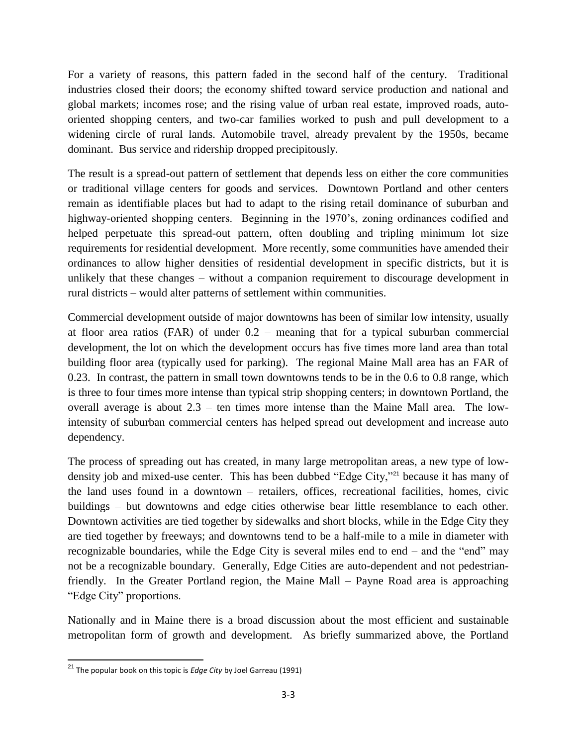For a variety of reasons, this pattern faded in the second half of the century. Traditional industries closed their doors; the economy shifted toward service production and national and global markets; incomes rose; and the rising value of urban real estate, improved roads, autooriented shopping centers, and two-car families worked to push and pull development to a widening circle of rural lands. Automobile travel, already prevalent by the 1950s, became dominant. Bus service and ridership dropped precipitously.

The result is a spread-out pattern of settlement that depends less on either the core communities or traditional village centers for goods and services. Downtown Portland and other centers remain as identifiable places but had to adapt to the rising retail dominance of suburban and highway-oriented shopping centers. Beginning in the 1970's, zoning ordinances codified and helped perpetuate this spread-out pattern, often doubling and tripling minimum lot size requirements for residential development. More recently, some communities have amended their ordinances to allow higher densities of residential development in specific districts, but it is unlikely that these changes – without a companion requirement to discourage development in rural districts – would alter patterns of settlement within communities.

Commercial development outside of major downtowns has been of similar low intensity, usually at floor area ratios (FAR) of under 0.2 – meaning that for a typical suburban commercial development, the lot on which the development occurs has five times more land area than total building floor area (typically used for parking). The regional Maine Mall area has an FAR of 0.23. In contrast, the pattern in small town downtowns tends to be in the 0.6 to 0.8 range, which is three to four times more intense than typical strip shopping centers; in downtown Portland, the overall average is about 2.3 – ten times more intense than the Maine Mall area. The lowintensity of suburban commercial centers has helped spread out development and increase auto dependency.

The process of spreading out has created, in many large metropolitan areas, a new type of lowdensity job and mixed-use center. This has been dubbed "Edge City,"<sup>21</sup> because it has many of the land uses found in a downtown – retailers, offices, recreational facilities, homes, civic buildings – but downtowns and edge cities otherwise bear little resemblance to each other. Downtown activities are tied together by sidewalks and short blocks, while in the Edge City they are tied together by freeways; and downtowns tend to be a half-mile to a mile in diameter with recognizable boundaries, while the Edge City is several miles end to end – and the "end" may not be a recognizable boundary. Generally, Edge Cities are auto-dependent and not pedestrianfriendly. In the Greater Portland region, the Maine Mall – Payne Road area is approaching "Edge City" proportions.

Nationally and in Maine there is a broad discussion about the most efficient and sustainable metropolitan form of growth and development. As briefly summarized above, the Portland

 $\overline{a}$ <sup>21</sup> The popular book on this topic is *Edge City* by Joel Garreau (1991)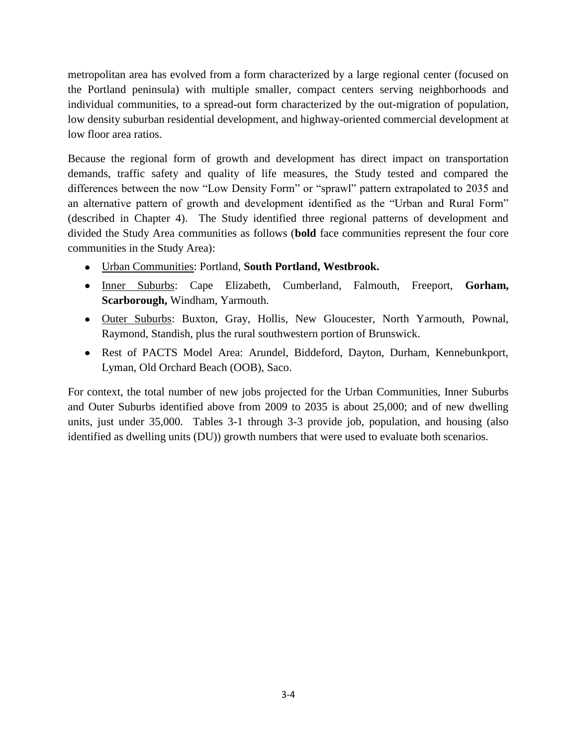metropolitan area has evolved from a form characterized by a large regional center (focused on the Portland peninsula) with multiple smaller, compact centers serving neighborhoods and individual communities, to a spread-out form characterized by the out-migration of population, low density suburban residential development, and highway-oriented commercial development at low floor area ratios.

Because the regional form of growth and development has direct impact on transportation demands, traffic safety and quality of life measures, the Study tested and compared the differences between the now "Low Density Form" or "sprawl" pattern extrapolated to 2035 and an alternative pattern of growth and development identified as the "Urban and Rural Form" (described in Chapter 4). The Study identified three regional patterns of development and divided the Study Area communities as follows (**bold** face communities represent the four core communities in the Study Area):

- Urban Communities: Portland, **South Portland, Westbrook.**
- Inner Suburbs: Cape Elizabeth, Cumberland, Falmouth, Freeport, Gorham, **Scarborough,** Windham, Yarmouth.
- Outer Suburbs: Buxton, Gray, Hollis, New Gloucester, North Yarmouth, Pownal, Raymond, Standish, plus the rural southwestern portion of Brunswick.
- Rest of PACTS Model Area: Arundel, Biddeford, Dayton, Durham, Kennebunkport, Lyman, Old Orchard Beach (OOB), Saco.

For context, the total number of new jobs projected for the Urban Communities, Inner Suburbs and Outer Suburbs identified above from 2009 to 2035 is about 25,000; and of new dwelling units, just under 35,000. Tables 3-1 through 3-3 provide job, population, and housing (also identified as dwelling units (DU)) growth numbers that were used to evaluate both scenarios.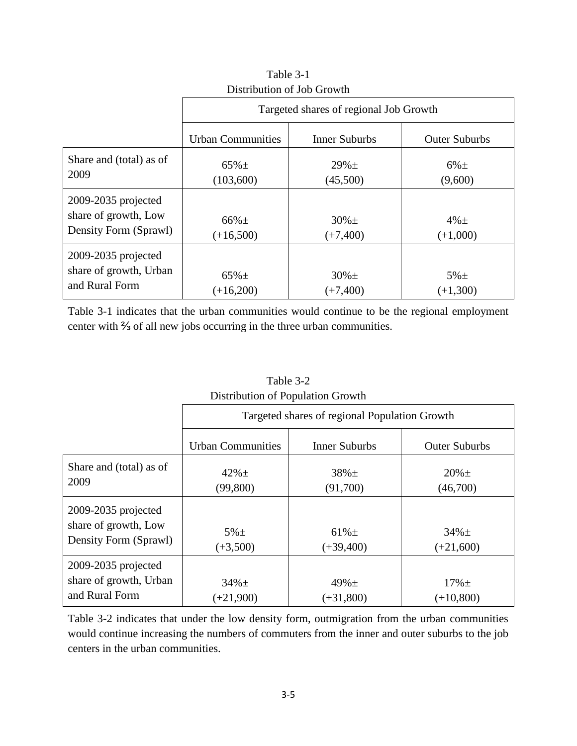|                                                                          | Targeted shares of regional Job Growth |                          |                         |  |  |  |
|--------------------------------------------------------------------------|----------------------------------------|--------------------------|-------------------------|--|--|--|
|                                                                          | <b>Urban Communities</b>               | <b>Inner Suburbs</b>     | <b>Outer Suburbs</b>    |  |  |  |
| Share and (total) as of<br>2009                                          | $65\% \pm$<br>(103,600)                | $29\% \pm$<br>(45,500)   | $6\% \pm$<br>(9,600)    |  |  |  |
| $2009 - 2035$ projected<br>share of growth, Low<br>Density Form (Sprawl) | $66\% \pm$<br>$(+16,500)$              | $30\% \pm$<br>$(+7,400)$ | $4\% \pm$<br>$(+1,000)$ |  |  |  |
| 2009-2035 projected<br>share of growth, Urban<br>and Rural Form          | $65\% \pm$<br>$(+16,200)$              | $30\% \pm$<br>$(+7,400)$ | $5\% \pm$<br>$(+1,300)$ |  |  |  |

Table 3-1 Distribution of Job Growth

Table 3-1 indicates that the urban communities would continue to be the regional employment center with ⅔ of all new jobs occurring in the three urban communities.

| <b>Distribution of Topulation Olowin</b>                                 |                                               |                           |                           |  |  |  |
|--------------------------------------------------------------------------|-----------------------------------------------|---------------------------|---------------------------|--|--|--|
|                                                                          | Targeted shares of regional Population Growth |                           |                           |  |  |  |
|                                                                          | <b>Urban Communities</b>                      | <b>Inner Suburbs</b>      | <b>Outer Suburbs</b>      |  |  |  |
| Share and (total) as of<br>2009                                          | $42% \pm$<br>(99, 800)                        | $38\% \pm$<br>(91,700)    | $20\% \pm$<br>(46,700)    |  |  |  |
| $2009 - 2035$ projected<br>share of growth, Low<br>Density Form (Sprawl) | $5\% \pm$<br>$(+3,500)$                       | $61\% \pm$<br>$(+39,400)$ | $34\% \pm$<br>$(+21,600)$ |  |  |  |
| 2009-2035 projected<br>share of growth, Urban<br>and Rural Form          | $34\% \pm$<br>$(+21,900)$                     | $49\% \pm$<br>$(+31,800)$ | $17\% \pm$<br>$(+10,800)$ |  |  |  |

Table 3-2 Distribution of Population Growth

Table 3-2 indicates that under the low density form, outmigration from the urban communities would continue increasing the numbers of commuters from the inner and outer suburbs to the job centers in the urban communities.